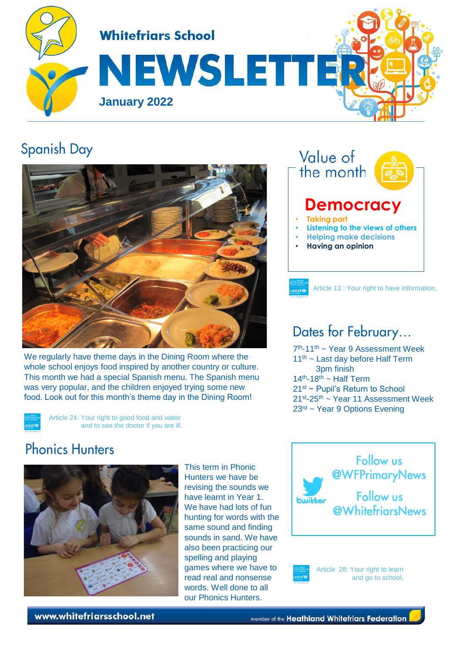

#### **Spanish Day**



We regularly have theme days in the Dining Room where the whole school enjoys food inspired by another country or culture. This month we had a special Spanish menu. The Spanish menu was very popular, and the children enjoyed trying some new food. Look out for this month's theme day in the Dining Room!

> Article 24: Your right to good food and water and to see the doctor if you are ill.

#### Value of the month **Democracy**  • **Taking part** • **Listening to the views of others** • **Helping make decisions** • **Having an opinion**

#### Dates for February...

7 th-11th ~ Year 9 Assessment Week 11<sup>th</sup> ~ Last day before Half Term 3pm finish  $14<sup>th</sup>$ -18<sup>th</sup> ~ Half Term 21st ~ Pupil's Return to School 21st-25th ~ Year 11 Assessment Week 23rd ~ Year 9 Options Evening

Article 13 : Your right to have information.

## **Phonics Hunters**



This term in Phonic Hunters we have be revising the sounds we have learnt in Year 1. We have had lots of fun hunting for words with the same sound and finding sounds in sand. We have also been practicing our spelling and playing games where we have to read real and nonsense words. Well done to all our Phonics Hunters.



Article 28: Your right to learn

and go to school.

www.whitefriarsschool.net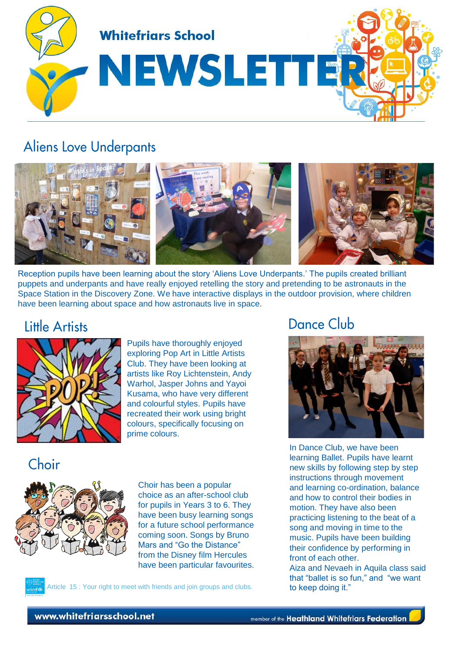

#### **Aliens Love Underpants**



Reception pupils have been learning about the story 'Aliens Love Underpants.' The pupils created brilliant puppets and underpants and have really enjoyed retelling the story and pretending to be astronauts in the Space Station in the Discovery Zone. We have interactive displays in the outdoor provision, where children have been learning about space and how astronauts live in space.

#### **Little Artists**



Pupils have thoroughly enjoyed exploring Pop Art in Little Artists Club. They have been looking at artists like Roy Lichtenstein, Andy Warhol, Jasper Johns and Yayoi Kusama, who have very different and colourful styles. Pupils have recreated their work using bright colours, specifically focusing on prime colours.

## Choir



Choir has been a popular choice as an after-school club for pupils in Years 3 to 6. They have been busy learning songs for a future school performance coming soon. Songs by Bruno Mars and "Go the Distance" from the Disney film Hercules have been particular favourites.

Article 15 : Your right to meet with friends and join groups and clubs.

#### **Dance Club**



In Dance Club, we have been learning Ballet. Pupils have learnt new skills by following step by step instructions through movement and learning co-ordination, balance and how to control their bodies in motion. They have also been practicing listening to the beat of a song and moving in time to the music. Pupils have been building their confidence by performing in front of each other.

Aiza and Nevaeh in Aquila class said that "ballet is so fun," and "we want to keep doing it."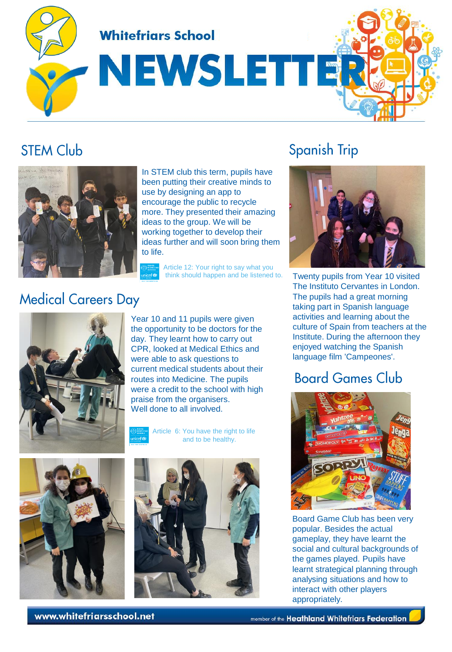**Whitefriars School** 

# NEWSLETTE

## **STEM Club**



In STEM club this term, pupils have been putting their creative minds to use by designing an app to encourage the public to recycle more. They presented their amazing ideas to the group. We will be working together to develop their ideas further and will soon bring them to life.

Article 12: Your right to say what you<br>think should happen and be listened to.

## **Medical Careers Day**



Year 10 and 11 pupils were given the opportunity to be doctors for the day. They learnt how to carry out CPR, looked at Medical Ethics and were able to ask questions to current medical students about their routes into Medicine. The pupils were a credit to the school with high praise from the organisers. Well done to all involved.

Article 6: You have the right to life and to be healthy.





## **Spanish Trip**



Twenty pupils from Year 10 visited The Instituto Cervantes in London. The pupils had a great morning taking part in Spanish language activities and learning about the culture of Spain from teachers at the Institute. During the afternoon they enjoyed watching the Spanish language film 'Campeones'.

## **Board Games Club**



Board Game Club has been very popular. Besides the actual gameplay, they have learnt the social and cultural backgrounds of the games played. Pupils have learnt strategical planning through analysing situations and how to interact with other players appropriately.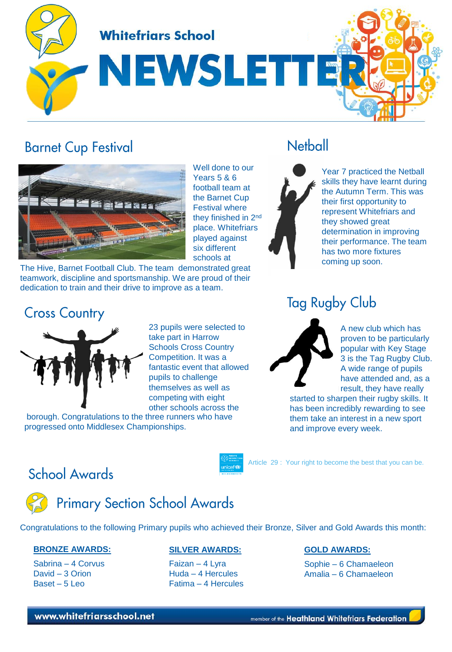**Whitefriars School** 

NEWSLETT

#### **Barnet Cup Festival**



Well done to our Years 5 & 6 football team at the Barnet Cup Festival where they finished in 2<sup>nd</sup> place. Whitefriars played against six different schools at

The Hive, Barnet Football Club. The team demonstrated great teamwork, discipline and sportsmanship. We are proud of their dedication to train and their drive to improve as a team.

#### **Cross Country**



23 pupils were selected to take part in Harrow Schools Cross Country Competition. It was a fantastic event that allowed pupils to challenge themselves as well as competing with eight other schools across the

borough. Congratulations to the three runners who have progressed onto Middlesex Championships.

## **Netball**

Year 7 practiced the Netball skills they have learnt during the Autumn Term. This was their first opportunity to represent Whitefriars and they showed great determination in improving their performance. The team has two more fixtures coming up soon.

#### **Tag Rugby Club**



A new club which has proven to be particularly popular with Key Stage 3 is the Tag Rugby Club. A wide range of pupils have attended and, as a result, they have really

started to sharpen their rugby skills. It has been incredibly rewarding to see them take an interest in a new sport and improve every week.

Article 29 : Your right to become the best that you can be. unicef<sup>®</sup>

#### **School Awards**



## **Primary Section School Awards**

Congratulations to the following Primary pupils who achieved their Bronze, Silver and Gold Awards this month:

#### **BRONZE AWARDS:**

Sabrina – 4 Corvus David – 3 Orion Baset – 5 Leo

#### **SILVER AWARDS:**

Faizan – 4 Lyra Huda – 4 Hercules Fatima – 4 Hercules

#### **GOLD AWARDS:**

Sophie – 6 Chamaeleon Amalia – 6 Chamaeleon

#### www.whitefriarsschool.net